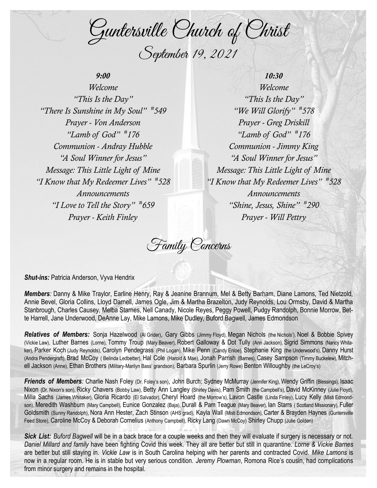Guntersville Church of Christ September 19, 2021

## *9:00*

*Welcome "This Is the Day" "There Is Sunshine in My Soul" # 549 Prayer - Von Anderson "Lamb of God" # 176 Communion - Andray Hubble "A Soul Winner for Jesus" Message: This Little Light of Mine "I Know that My Redeemer Lives" # 528 Announcements "I Love to Tell the Story" # 659 Prayer - Keith Finley*

*10:30 Welcome "This Is the Day" "We Will Glorify" # 578 Prayer - Greg Driskill "Lamb of God" # 176 Communion - Jimmy King "A Soul Winner for Jesus" Message: This Little Light of Mine "I Know that My Redeemer Lives" # 528 Announcements "Shine, Jesus, Shine" # 290 Prayer - Will Pettry*

Family Concerns

**Shut-ins: Patricia Anderson, Vyva Hendrix** 

*Members:* Danny & Mike Traylor, Earline Henry, Ray & Jeanine Brannum, Mel & Betty Barham, Diane Lamons, Ted Nietzold, Annie Bevel, Gloria Collins, Lloyd Darnell, James Ogle, Jim & Martha Brazelton, Judy Reynolds, Lou Ormsby, David & Martha Stanbrough, Charles Causey, Melba Starnes, Nell Canady, Nicole Reyes, Peggy Powell, Pudgy Randolph, Bonnie Morrow, Bette Harrell, Jane Underwood, DeAnne Lay, Mike Lamons, Mike Dudley, Buford Bagwell, James Edmondson

*Relatives of Members:* Sonja Hazelwood (Al Grider), Gary Gibbs (Jimmy Floyd), Megan Nichols (the Nichols'), Noel & Bobbie Spivey (Vickie Law), Luther Barnes (Lorne), Tommy Troup (Mary Beaver), Robert Galloway & Dot Tully (Ann Jackson), Sigrid Simmons (Nancy Whitaker), Parker Koch (Judy Reynolds), Carolyn Pendegrass (Phil Logan), Mike Penn (Candy Enloe), Stephanie King (the Underwood's), Danny Hurst (Andra Pendergraft), Brad McCoy ( Belinda Ledbetter), Hal Cole (Harold & Mae), Jonah Parrish (Barnes), Casey Sampson (Timmy Buckelew), Mitchell Jackson (Anne), Ethan Brothers (Military-Marilyn Bass' grandson), Barbara Spurlin (Jerry Rowe) Benton Willoughby (the LeCroy's)

**Friends of Members**: Charlie Nash Foley (Dr. Foley's son), John Burch; Sydney McMurray (Jennifer King), Wendy Griffin (Blessings), Isaac Nixon (Dr. Nixon's son), Ricky Chavers (Bobby Law), Betty Ann Langley (Shirley Davis), Pam Smith (the Campbell's), David McKinney (Julie Floyd), Milla Sachs (James Whitaker), Gloria Ricardo (El Salvador), Cheryl Hoard (the Morrow's), Lavon Castle (Linda Finley), Lucy Kelly (Misti Edmondson), Meredith Washburn (Mary Campbell), Eunice Gonzalez (Baja), Durall & Pam Teague (Mary Beaver), Ian Starrs (Scotland Missionary), Fuller Goldsmith (Sunny Randolph), Nora Ann Hester, Zach Stinson (AHS grad), Kayla Wall (Misti Edmondson), Carter & Brayden Haynes (Guntersville Feed Store), Caroline McCoy & Deborah Cornelius (Anthony Campbell), Ricky Lang (Dawn McCoy) Shirley Chupp (Julie Golden)

*Sick List: Buford Bagwell* will be in a back brace for a couple weeks and then they will evaluate if surgery is necessary or not. *Daniel Millard and family* have been fighting Covid this week. They all are better but still in quarantine. *Lorne & Vickie Barnes*  are better but still staying in. *Vickie Law* is in South Carolina helping with her parents and contracted Covid. *Mike Lamons* is now in a regular room. He is in stable but very serious condition. *Jeremy Plowman*, Romona Rice's cousin, had complications from minor surgery and remains in the hospital.